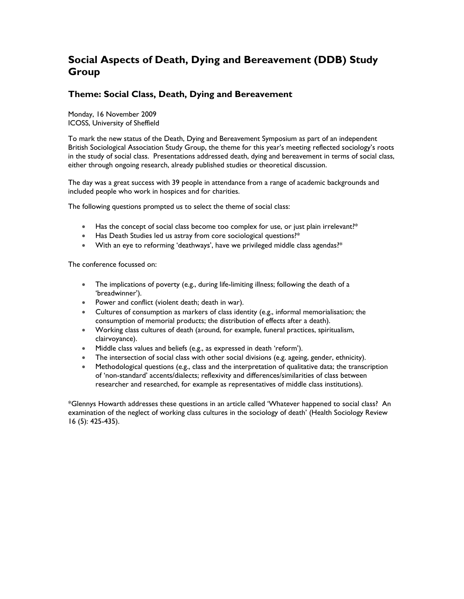## **Social Aspects of Death, Dying and Bereavement (DDB) Study Group**

### **Theme: Social Class, Death, Dying and Bereavement**

Monday, 16 November 2009 ICOSS, University of Sheffield

To mark the new status of the Death, Dying and Bereavement Symposium as part of an independent British Sociological Association Study Group, the theme for this year's meeting reflected sociology's roots in the study of social class. Presentations addressed death, dying and bereavement in terms of social class, either through ongoing research, already published studies or theoretical discussion.

The day was a great success with 39 people in attendance from a range of academic backgrounds and included people who work in hospices and for charities.

The following questions prompted us to select the theme of social class:

- Has the concept of social class become too complex for use, or just plain irrelevant?\*
- Has Death Studies led us astray from core sociological questions?\*
- With an eye to reforming 'deathways', have we privileged middle class agendas?\*

The conference focussed on:

- The implications of poverty (e.g., during life-limiting illness; following the death of a 'breadwinner').
- Power and conflict (violent death; death in war).
- Cultures of consumption as markers of class identity (e.g., informal memorialisation; the consumption of memorial products; the distribution of effects after a death).
- Working class cultures of death (around, for example, funeral practices, spiritualism, clairvoyance).
- Middle class values and beliefs (e.g., as expressed in death 'reform').
- The intersection of social class with other social divisions (e.g. ageing, gender, ethnicity).
- Methodological questions (e.g., class and the interpretation of qualitative data; the transcription of 'non-standard' accents/dialects; reflexivity and differences/similarities of class between researcher and researched, for example as representatives of middle class institutions).

\*Glennys Howarth addresses these questions in an article called 'Whatever happened to social class? An examination of the neglect of working class cultures in the sociology of death' (Health Sociology Review 16 (5): 425-435).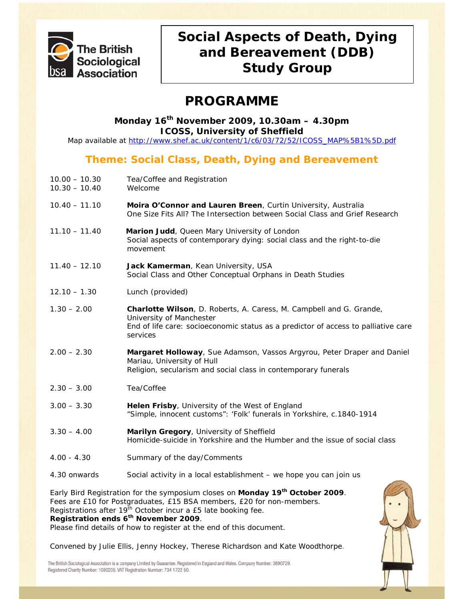

# **Social Aspects of Death, Dying and Bereavement (DDB) Study Group**

# **PROGRAMME**

### **Monday 16th November 2009, 10.30am – 4.30pm ICOSS, University of Sheffield**

Map available at http://www.shef.ac.uk/content/1/c6/03/72/52/ICOSS\_MAP%5B1%5D.pdf

## **Theme: Social Class, Death, Dying and Bereavement**

- 10.00 10.30 Tea/Coffee and Registration
- 10.30 10.40 Welcome
- 10.40 11.10 **Moira O'Connor and Lauren Breen**, Curtin University, Australia *One Size Fits All? The Intersection between Social Class and Grief Research*
- 11.10 11.40 **Marion Judd**, Queen Mary University of London *Social aspects of contemporary dying: social class and the right-to-die movement*
- 11.40 12.10 **Jack Kamerman**, Kean University, USA *Social Class and Other Conceptual Orphans in Death Studies*
- 12.10 1.30 Lunch (provided)
- 1.30 2.00 **Charlotte Wilson**, D. Roberts, A. Caress, M. Campbell and G. Grande, University of Manchester *End of life care: socioeconomic status as a predictor of access to palliative care services*
- 2.00 2.30 **Margaret Holloway**, Sue Adamson, Vassos Argyrou, Peter Draper and Daniel Mariau, University of Hull *Religion, secularism and social class in contemporary funerals*
- 2.30 3.00 Tea/Coffee
- 3.00 3.30 **Helen Frisby**, University of the West of England *"Simple, innocent customs": 'Folk' funerals in Yorkshire, c.1840-1914*
- 3.30 4.00 **Marilyn Gregory**, University of Sheffield *Homicide-suicide in Yorkshire and the Humber and the issue of social class*
- 4.00 4.30 Summary of the day/Comments
- 4.30 onwards Social activity in a local establishment we hope you can join us

Early Bird Registration for the symposium closes on **Monday 19th October 2009**. Fees are £10 for Postgraduates, £15 BSA members, £20 for non-members. Registrations after  $19^{th}$  October incur a £5 late booking fee. **Registration ends 6th November 2009**.

Please find details of how to register at the end of this document.

Convened by Julie Ellis, Jenny Hockey, Therese Richardson and Kate Woodthorpe.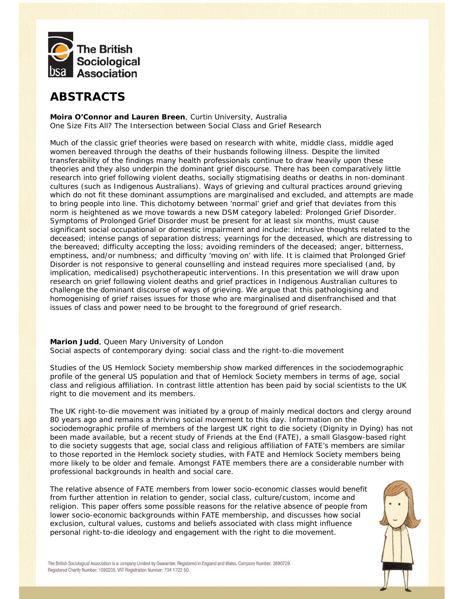

## **ABSTRACTS**

**Moira O'Connor and Lauren Breen**, Curtin University, Australia *One Size Fits All? The Intersection between Social Class and Grief Research* 

Much of the classic grief theories were based on research with white, middle class, middle aged women bereaved through the deaths of their husbands following illness. Despite the limited transferability of the findings many health professionals continue to draw heavily upon these theories and they also underpin the dominant grief discourse. There has been comparatively little research into grief following violent deaths, socially stigmatising deaths or deaths in non-dominant cultures (such as Indigenous Australians). Ways of grieving and cultural practices around grieving which do not fit these dominant assumptions are marginalised and excluded, and attempts are made to bring people into line. This dichotomy between 'normal' grief and grief that deviates from this norm is heightened as we move towards a new DSM category labeled: Prolonged Grief Disorder. Symptoms of Prolonged Grief Disorder must be present for at least six months, must cause significant social occupational or domestic impairment and include: intrusive thoughts related to the deceased; intense pangs of separation distress; yearnings for the deceased, which are distressing to the bereaved; difficulty accepting the loss; avoiding reminders of the deceased; anger, bitterness, emptiness, and/or numbness; and difficulty 'moving on' with life. It is claimed that Prolonged Grief Disorder is not responsive to general counselling and instead requires more specialised (and, by implication, medicalised) psychotherapeutic interventions. In this presentation we will draw upon research on grief following violent deaths and grief practices in Indigenous Australian cultures to challenge the dominant discourse of ways of grieving. We argue that this pathologising and homogenising of grief raises issues for those who are marginalised and disenfranchised and that issues of class and power need to be brought to the foreground of grief research.

### **Marion Judd**, Queen Mary University of London *Social aspects of contemporary dying: social class and the right-to-die movement*

Studies of the US Hemlock Society membership show marked differences in the sociodemographic profile of the general US population and that of Hemlock Society members in terms of age, social class and religious affiliation. In contrast little attention has been paid by social scientists to the UK right to die movement and its members.

The UK right-to-die movement was initiated by a group of mainly medical doctors and clergy around 80 years ago and remains a thriving social movement to this day. Information on the sociodemographic profile of members of the largest UK right to die society (Dignity in Dying) has not been made available, but a recent study of Friends at the End (FATE), a small Glasgow-based right to die society suggests that age, social class and religious affiliation of FATE's members are similar to those reported in the Hemlock society studies, with FATE and Hemlock Society members being more likely to be older and female. Amongst FATE members there are a considerable number with professional backgrounds in health and social care.

The relative absence of FATE members from lower socio-economic classes would benefit from further attention in relation to gender, social class, culture/custom, income and religion. This paper offers some possible reasons for the relative absence of people from lower socio-economic backgrounds within FATE membership, and discusses how social exclusion, cultural values, customs and beliefs associated with class might influence personal right-to-die ideology and engagement with the right to die movement.

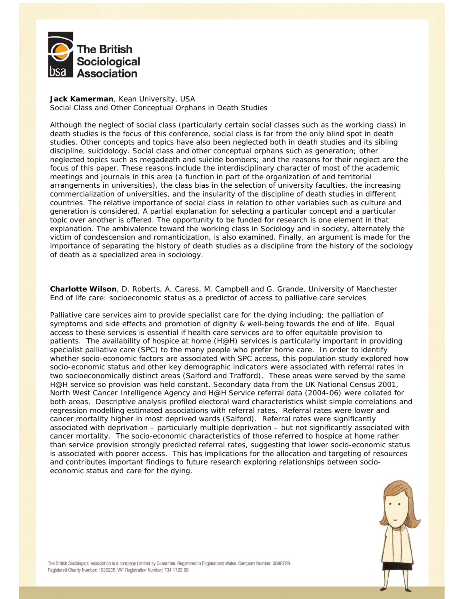

### **Jack Kamerman**, Kean University, USA *Social Class and Other Conceptual Orphans in Death Studies*

Although the neglect of social class (particularly certain social classes such as the working class) in death studies is the focus of this conference, social class is far from the only blind spot in death studies. Other concepts and topics have also been neglected both in death studies and its sibling discipline, suicidology. Social class and other conceptual orphans such as generation; other neglected topics such as megadeath and suicide bombers; and the reasons for their neglect are the focus of this paper. These reasons include the interdisciplinary character of most of the academic meetings and journals in this area (a function in part of the organization of and territorial arrangements in universities), the class bias in the selection of university faculties, the increasing commercialization of universities, and the insularity of the discipline of death studies in different countries. The relative importance of social class in relation to other variables such as culture and generation is considered. A partial explanation for selecting a particular concept and a particular topic over another is offered. The opportunity to be funded for research is one element in that explanation. The ambivalence toward the working class in Sociology and in society, alternately the victim of condescension and romanticization, is also examined. Finally, an argument is made for the importance of separating the history of death studies as a discipline from the history of the sociology of death as a specialized area in sociology.

**Charlotte Wilson**, D. Roberts, A. Caress, M. Campbell and G. Grande, University of Manchester *End of life care: socioeconomic status as a predictor of access to palliative care services*

Palliative care services aim to provide specialist care for the dying including; the palliation of symptoms and side effects and promotion of dignity & well-being towards the end of life. Equal access to these services is essential if health care services are to offer equitable provision to patients. The availability of hospice at home (H@H) services is particularly important in providing specialist palliative care (SPC) to the many people who prefer home care. In order to identify whether socio-economic factors are associated with SPC access, this population study explored how socio-economic status and other key demographic indicators were associated with referral rates in two socioeconomically distinct areas (Salford and Trafford). These areas were served by the same H@H service so provision was held constant. Secondary data from the UK National Census 2001, North West Cancer Intelligence Agency and H@H Service referral data (2004-06) were collated for both areas. Descriptive analysis profiled electoral ward characteristics whilst simple correlations and regression modelling estimated associations with referral rates. Referral rates were lower and cancer mortality higher in most deprived wards (Salford). Referral rates were significantly associated with deprivation – particularly multiple deprivation – but not significantly associated with cancer mortality. The socio-economic characteristics of those referred to hospice at home rather than service provision strongly predicted referral rates, suggesting that lower socio-economic status is associated with poorer access. This has implications for the allocation and targeting of resources and contributes important findings to future research exploring relationships between socioeconomic status and care for the dying.

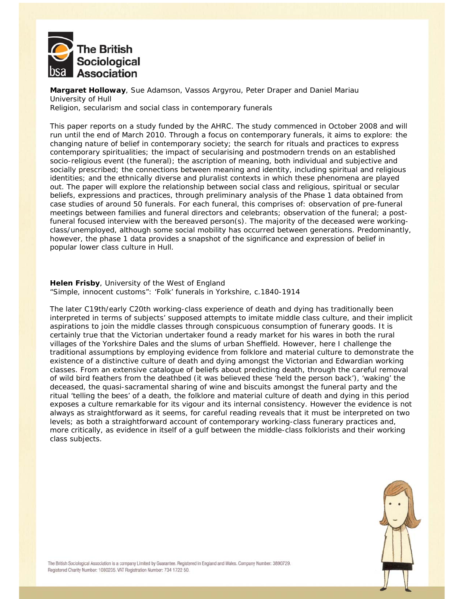

**Margaret Holloway**, Sue Adamson, Vassos Argyrou, Peter Draper and Daniel Mariau University of Hull *Religion, secularism and social class in contemporary funerals* 

This paper reports on a study funded by the AHRC. The study commenced in October 2008 and will run until the end of March 2010. Through a focus on contemporary funerals, it aims to explore: the changing nature of belief in contemporary society; the search for rituals and practices to express contemporary spiritualities; the impact of secularising and postmodern trends on an established socio-religious event (the funeral); the ascription of meaning, both individual and subjective and socially prescribed; the connections between meaning and identity, including spiritual and religious identities; and the ethnically diverse and pluralist contexts in which these phenomena are played out. The paper will explore the relationship between social class and religious, spiritual or secular beliefs, expressions and practices, through preliminary analysis of the Phase 1 data obtained from case studies of around 50 funerals. For each funeral, this comprises of: observation of pre-funeral meetings between families and funeral directors and celebrants; observation of the funeral; a postfuneral focused interview with the bereaved person(s). The majority of the deceased were workingclass/unemployed, although some social mobility has occurred between generations. Predominantly, however, the phase 1 data provides a snapshot of the significance and expression of belief in popular lower class culture in Hull.

#### **Helen Frisby**, University of the West of England *"Simple, innocent customs": 'Folk' funerals in Yorkshire, c.1840-1914*

The later C19th/early C20th working-class experience of death and dying has traditionally been interpreted in terms of subjects' supposed attempts to imitate middle class culture, and their implicit aspirations to join the middle classes through conspicuous consumption of funerary goods. It is certainly true that the Victorian undertaker found a ready market for his wares in both the rural villages of the Yorkshire Dales and the slums of urban Sheffield. However, here I challenge the traditional assumptions by employing evidence from folklore and material culture to demonstrate the existence of a distinctive culture of death and dying amongst the Victorian and Edwardian working classes. From an extensive catalogue of beliefs about predicting death, through the careful removal of wild bird feathers from the deathbed (it was believed these 'held the person back'), 'waking' the deceased, the quasi-sacramental sharing of wine and biscuits amongst the funeral party and the ritual 'telling the bees' of a death, the folklore and material culture of death and dying in this period exposes a culture remarkable for its vigour and its internal consistency. However the evidence is not always as straightforward as it seems, for careful reading reveals that it must be interpreted on two levels; as both a straightforward account of contemporary working-class funerary practices and, more critically, as evidence in itself of a gulf between the middle-class folklorists and their working class subjects.